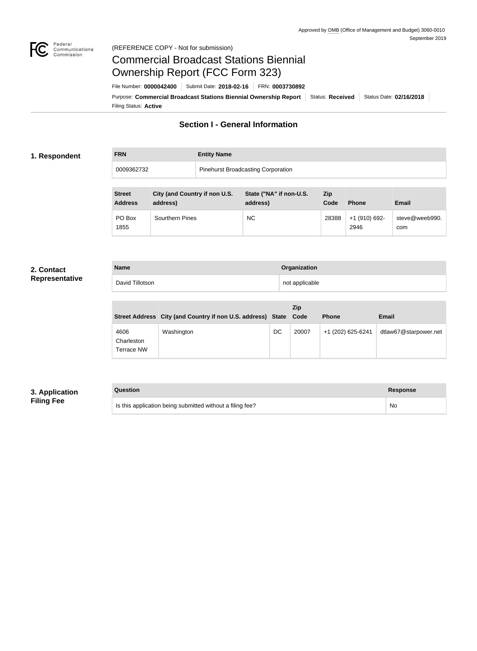

### Federal<br>Communications<br>Commission (REFERENCE COPY - Not for submission)

# Commercial Broadcast Stations Biennial Ownership Report (FCC Form 323)

Filing Status: **Active** Purpose: Commercial Broadcast Stations Biennial Ownership Report Status: Received Status Date: 02/16/2018 File Number: **0000042400** Submit Date: **2018-02-16** FRN: **0003730892**

## **Section I - General Information**

### **1. Respondent**

## **FRN Entity Name** 0009362732 Pinehurst Broadcasting Corporation

| <b>Street</b><br><b>Address</b> | City (and Country if non U.S.<br>address) | State ("NA" if non-U.S.<br>address) | <b>Zip</b><br>Code | <b>Phone</b>          | <b>Email</b>          |
|---------------------------------|-------------------------------------------|-------------------------------------|--------------------|-----------------------|-----------------------|
| PO Box<br>1855                  | Sourthern Pines                           | NC.                                 | 28388              | +1 (910) 692-<br>2946 | steve@weeb990.<br>com |

#### **2. Contact Representative**

| <b>Name</b>     | Organization   |
|-----------------|----------------|
| David Tillotson | not applicable |

|                                  | Street Address City (and Country if non U.S. address) State Code |    | Zip   | <b>Phone</b>      | <b>Email</b>          |
|----------------------------------|------------------------------------------------------------------|----|-------|-------------------|-----------------------|
| 4606<br>Charleston<br>Terrace NW | Washington                                                       | DC | 20007 | +1 (202) 625-6241 | dtlaw67@starpower.net |

## **3. Application Filing Fee**

# **Question Response** Is this application being submitted without a filing fee? No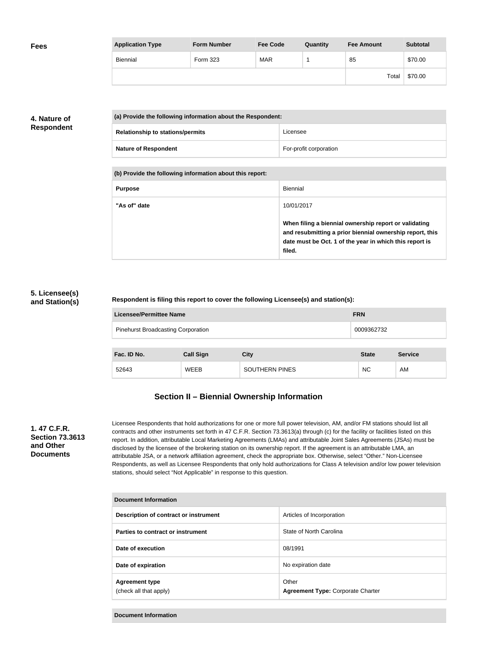| <b>Fees</b> | <b>Application Type</b> | <b>Form Number</b> | <b>Fee Code</b> | Quantity | <b>Fee Amount</b> | <b>Subtotal</b> |
|-------------|-------------------------|--------------------|-----------------|----------|-------------------|-----------------|
|             | Biennial                | Form 323           | <b>MAR</b>      |          | 85                | \$70.00         |
|             |                         |                    |                 |          | Total             | \$70.00         |

## **4. Nature of Respondent**

| (a) Provide the following information about the Respondent: |                        |  |
|-------------------------------------------------------------|------------------------|--|
| <b>Relationship to stations/permits</b>                     | Licensee               |  |
| <b>Nature of Respondent</b>                                 | For-profit corporation |  |

**(b) Provide the following information about this report:**

| <b>Purpose</b> | Biennial                                                                                                                                                                               |
|----------------|----------------------------------------------------------------------------------------------------------------------------------------------------------------------------------------|
| "As of" date   | 10/01/2017                                                                                                                                                                             |
|                | When filing a biennial ownership report or validating<br>and resubmitting a prior biennial ownership report, this<br>date must be Oct. 1 of the year in which this report is<br>filed. |

### **5. Licensee(s) and Station(s)**

#### **Respondent is filing this report to cover the following Licensee(s) and station(s):**

| Licensee/Permittee Name                   | <b>FRN</b> |
|-------------------------------------------|------------|
| <b>Pinehurst Broadcasting Corporation</b> | 0009362732 |

| Fac. ID No. | <b>Call Sign</b> | City                  | <b>State</b> | <b>Service</b> |
|-------------|------------------|-----------------------|--------------|----------------|
| 52643       | <b>WEEB</b>      | <b>SOUTHERN PINES</b> | <b>NC</b>    | AM             |

## **Section II – Biennial Ownership Information**

### **1. 47 C.F.R. Section 73.3613 and Other Documents**

Licensee Respondents that hold authorizations for one or more full power television, AM, and/or FM stations should list all contracts and other instruments set forth in 47 C.F.R. Section 73.3613(a) through (c) for the facility or facilities listed on this report. In addition, attributable Local Marketing Agreements (LMAs) and attributable Joint Sales Agreements (JSAs) must be disclosed by the licensee of the brokering station on its ownership report. If the agreement is an attributable LMA, an attributable JSA, or a network affiliation agreement, check the appropriate box. Otherwise, select "Other." Non-Licensee Respondents, as well as Licensee Respondents that only hold authorizations for Class A television and/or low power television stations, should select "Not Applicable" in response to this question.

| Document Information                            |                                                   |  |  |
|-------------------------------------------------|---------------------------------------------------|--|--|
| Description of contract or instrument           | Articles of Incorporation                         |  |  |
| Parties to contract or instrument               | State of North Carolina                           |  |  |
| Date of execution                               | 08/1991                                           |  |  |
| Date of expiration                              | No expiration date                                |  |  |
| <b>Agreement type</b><br>(check all that apply) | Other<br><b>Agreement Type: Corporate Charter</b> |  |  |

**Document Information**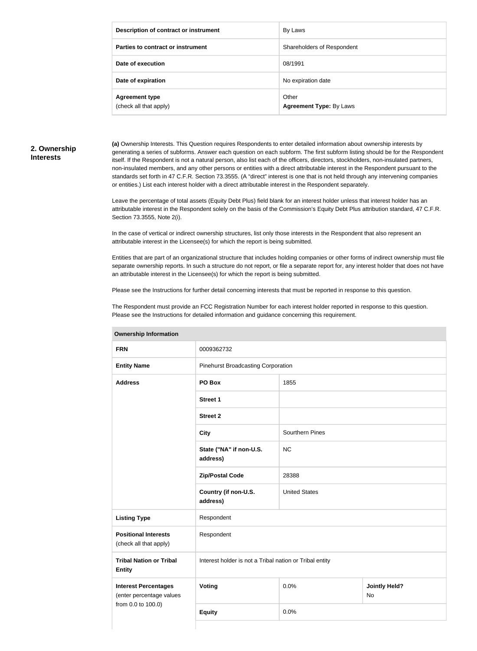| Description of contract or instrument           | By Laws                                 |
|-------------------------------------------------|-----------------------------------------|
| Parties to contract or instrument               | Shareholders of Respondent              |
| Date of execution                               | 08/1991                                 |
| Date of expiration                              | No expiration date                      |
| <b>Agreement type</b><br>(check all that apply) | Other<br><b>Agreement Type: By Laws</b> |

## **2. Ownership Interests**

**(a)** Ownership Interests. This Question requires Respondents to enter detailed information about ownership interests by generating a series of subforms. Answer each question on each subform. The first subform listing should be for the Respondent itself. If the Respondent is not a natural person, also list each of the officers, directors, stockholders, non-insulated partners, non-insulated members, and any other persons or entities with a direct attributable interest in the Respondent pursuant to the standards set forth in 47 C.F.R. Section 73.3555. (A "direct" interest is one that is not held through any intervening companies or entities.) List each interest holder with a direct attributable interest in the Respondent separately.

Leave the percentage of total assets (Equity Debt Plus) field blank for an interest holder unless that interest holder has an attributable interest in the Respondent solely on the basis of the Commission's Equity Debt Plus attribution standard, 47 C.F.R. Section 73.3555, Note 2(i).

In the case of vertical or indirect ownership structures, list only those interests in the Respondent that also represent an attributable interest in the Licensee(s) for which the report is being submitted.

Entities that are part of an organizational structure that includes holding companies or other forms of indirect ownership must file separate ownership reports. In such a structure do not report, or file a separate report for, any interest holder that does not have an attributable interest in the Licensee(s) for which the report is being submitted.

Please see the Instructions for further detail concerning interests that must be reported in response to this question.

The Respondent must provide an FCC Registration Number for each interest holder reported in response to this question. Please see the Instructions for detailed information and guidance concerning this requirement.

| ווטוואווויטווון קוווטוטווטו                             |                                                         |                        |                                   |  |
|---------------------------------------------------------|---------------------------------------------------------|------------------------|-----------------------------------|--|
| <b>FRN</b>                                              | 0009362732                                              |                        |                                   |  |
| <b>Entity Name</b>                                      | <b>Pinehurst Broadcasting Corporation</b>               |                        |                                   |  |
| <b>Address</b>                                          | PO Box                                                  | 1855                   |                                   |  |
|                                                         | <b>Street 1</b>                                         |                        |                                   |  |
|                                                         | <b>Street 2</b>                                         |                        |                                   |  |
|                                                         | <b>City</b>                                             | <b>Sourthern Pines</b> |                                   |  |
|                                                         | State ("NA" if non-U.S.<br>address)                     | NC                     |                                   |  |
|                                                         | <b>Zip/Postal Code</b>                                  | 28388                  |                                   |  |
|                                                         | Country (if non-U.S.<br>address)                        | <b>United States</b>   |                                   |  |
| <b>Listing Type</b>                                     | Respondent                                              |                        |                                   |  |
| <b>Positional Interests</b><br>(check all that apply)   | Respondent                                              |                        |                                   |  |
| <b>Tribal Nation or Tribal</b><br><b>Entity</b>         | Interest holder is not a Tribal nation or Tribal entity |                        |                                   |  |
| <b>Interest Percentages</b><br>(enter percentage values | Voting                                                  | 0.0%                   | <b>Jointly Held?</b><br><b>No</b> |  |
| from 0.0 to 100.0)                                      | <b>Equity</b>                                           | 0.0%                   |                                   |  |
|                                                         |                                                         |                        |                                   |  |

#### **Ownership Information**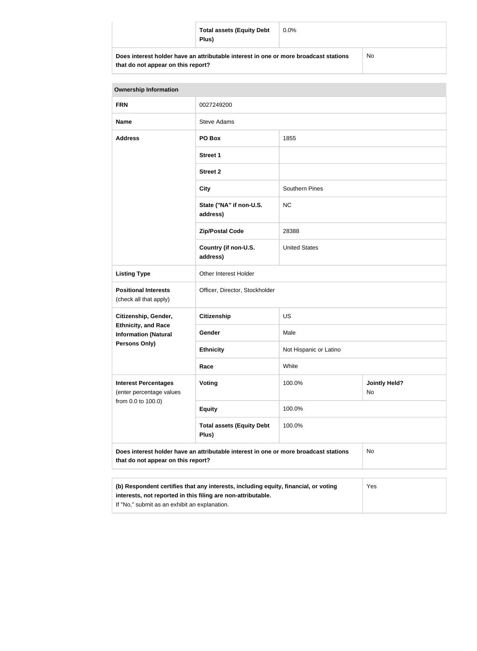|                                                                                      | <b>Total assets (Equity Debt</b><br>Plus) | $0.0\%$ |  |
|--------------------------------------------------------------------------------------|-------------------------------------------|---------|--|
| Does interest holder have an attributable interest in one or more broadcast stations |                                           | No      |  |

**that do not appear on this report?**

| <b>Ownership Information</b>                                                                                                                        |                                           |                        |                            |  |
|-----------------------------------------------------------------------------------------------------------------------------------------------------|-------------------------------------------|------------------------|----------------------------|--|
| <b>FRN</b>                                                                                                                                          | 0027249200                                |                        |                            |  |
| <b>Name</b>                                                                                                                                         | <b>Steve Adams</b>                        |                        |                            |  |
| <b>Address</b>                                                                                                                                      | PO Box                                    | 1855                   |                            |  |
|                                                                                                                                                     | <b>Street 1</b>                           |                        |                            |  |
|                                                                                                                                                     | <b>Street 2</b>                           |                        |                            |  |
|                                                                                                                                                     | <b>City</b>                               | Southern Pines         |                            |  |
|                                                                                                                                                     | State ("NA" if non-U.S.<br>address)       | <b>NC</b>              |                            |  |
|                                                                                                                                                     | <b>Zip/Postal Code</b>                    | 28388                  |                            |  |
|                                                                                                                                                     | Country (if non-U.S.<br>address)          | <b>United States</b>   |                            |  |
| <b>Listing Type</b>                                                                                                                                 | Other Interest Holder                     |                        |                            |  |
| <b>Positional Interests</b><br>(check all that apply)                                                                                               | Officer, Director, Stockholder            |                        |                            |  |
| Citizenship, Gender,<br><b>Ethnicity, and Race</b><br><b>Information (Natural</b><br><b>Persons Only)</b>                                           | <b>Citizenship</b>                        | US                     |                            |  |
|                                                                                                                                                     | <b>Gender</b>                             | Male                   |                            |  |
|                                                                                                                                                     | <b>Ethnicity</b>                          | Not Hispanic or Latino |                            |  |
|                                                                                                                                                     | Race                                      | White                  |                            |  |
| <b>Interest Percentages</b><br>(enter percentage values<br>from 0.0 to 100.0)                                                                       | <b>Voting</b>                             | 100.0%                 | <b>Jointly Held?</b><br>No |  |
|                                                                                                                                                     | <b>Equity</b>                             | 100.0%                 |                            |  |
|                                                                                                                                                     | <b>Total assets (Equity Debt</b><br>Plus) | 100.0%                 |                            |  |
| Does interest holder have an attributable interest in one or more broadcast stations<br>that do not appear on this report?                          |                                           |                        | No                         |  |
|                                                                                                                                                     |                                           |                        |                            |  |
| (b) Respondent certifies that any interests, including equity, financial, or voting<br>interests, not reported in this filing are non-attributable. | Yes                                       |                        |                            |  |

If "No," submit as an exhibit an explanation.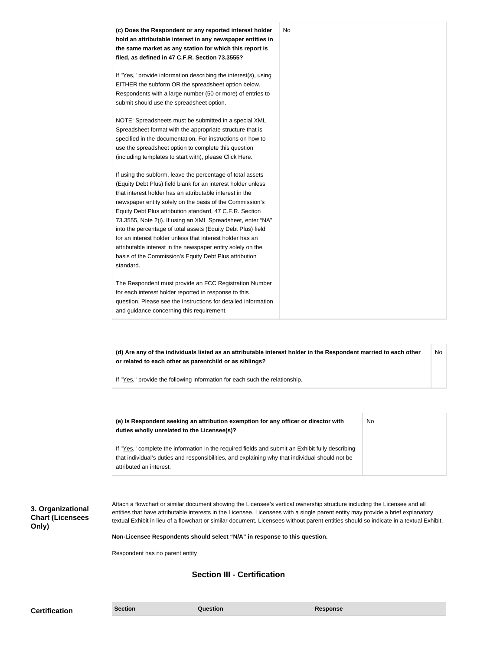| (c) Does the Respondent or any reported interest holder<br>hold an attributable interest in any newspaper entities in<br>the same market as any station for which this report is<br>filed, as defined in 47 C.F.R. Section 73.3555?                                                                                                                                                                                                                                                                                                                                                                                                              | No |
|--------------------------------------------------------------------------------------------------------------------------------------------------------------------------------------------------------------------------------------------------------------------------------------------------------------------------------------------------------------------------------------------------------------------------------------------------------------------------------------------------------------------------------------------------------------------------------------------------------------------------------------------------|----|
| If "Yes," provide information describing the interest(s), using<br>EITHER the subform OR the spreadsheet option below.<br>Respondents with a large number (50 or more) of entries to<br>submit should use the spreadsheet option.                                                                                                                                                                                                                                                                                                                                                                                                                |    |
| NOTE: Spreadsheets must be submitted in a special XML<br>Spreadsheet format with the appropriate structure that is<br>specified in the documentation. For instructions on how to<br>use the spreadsheet option to complete this question<br>(including templates to start with), please Click Here.                                                                                                                                                                                                                                                                                                                                              |    |
| If using the subform, leave the percentage of total assets<br>(Equity Debt Plus) field blank for an interest holder unless<br>that interest holder has an attributable interest in the<br>newspaper entity solely on the basis of the Commission's<br>Equity Debt Plus attribution standard, 47 C.F.R. Section<br>73.3555, Note 2(i). If using an XML Spreadsheet, enter "NA"<br>into the percentage of total assets (Equity Debt Plus) field<br>for an interest holder unless that interest holder has an<br>attributable interest in the newspaper entity solely on the<br>basis of the Commission's Equity Debt Plus attribution<br>standard. |    |
| The Respondent must provide an FCC Registration Number<br>for each interest holder reported in response to this<br>question. Please see the Instructions for detailed information<br>and guidance concerning this requirement.                                                                                                                                                                                                                                                                                                                                                                                                                   |    |

**(d) Are any of the individuals listed as an attributable interest holder in the Respondent married to each other or related to each other as parentchild or as siblings?** No

If "Yes," provide the following information for each such the relationship.

| (e) Is Respondent seeking an attribution exemption for any officer or director with<br>duties wholly unrelated to the Licensee(s)? | No |
|------------------------------------------------------------------------------------------------------------------------------------|----|
| If "Yes," complete the information in the required fields and submit an Exhibit fully describing                                   |    |
| that individual's duties and responsibilities, and explaining why that individual should not be                                    |    |
| attributed an interest.                                                                                                            |    |

**3. Organizational Chart (Licensees Only)**

Attach a flowchart or similar document showing the Licensee's vertical ownership structure including the Licensee and all entities that have attributable interests in the Licensee. Licensees with a single parent entity may provide a brief explanatory textual Exhibit in lieu of a flowchart or similar document. Licensees without parent entities should so indicate in a textual Exhibit.

**Non-Licensee Respondents should select "N/A" in response to this question.**

Respondent has no parent entity

## **Section III - Certification**

**Certification Section Section Question** *Question* **Response**